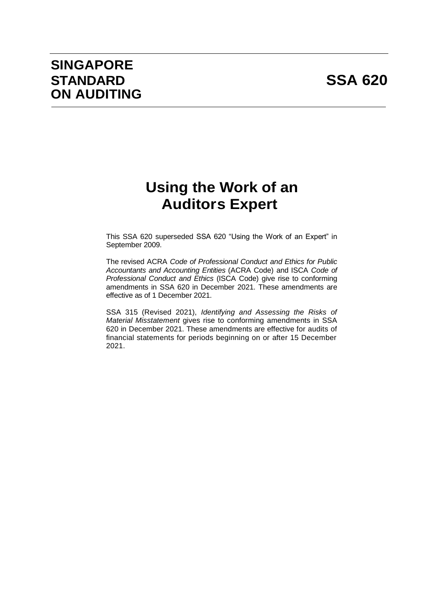# **Using the Work of an Auditor's Expert**

This SSA 620 superseded SSA 620 "Using the Work of an Expert" in September 2009.

The revised ACRA *Code of Professional Conduct and Ethics for Public Accountants and Accounting Entities* (ACRA Code) and ISCA *Code of Professional Conduct and Ethics* (ISCA Code) give rise to conforming amendments in SSA 620 in December 2021. These amendments are effective as of 1 December 2021.

SSA 315 (Revised 2021), *Identifying and Assessing the Risks of Material Misstatement* gives rise to conforming amendments in SSA 620 in December 2021. These amendments are effective for audits of financial statements for periods beginning on or after 15 December 2021.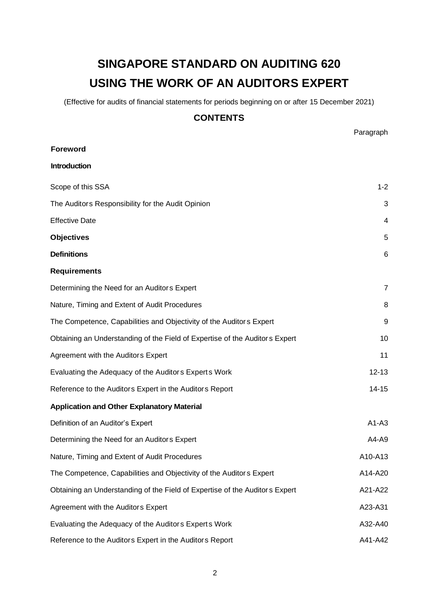# **SINGAPORE STANDARD ON AUDITING 620 USING THE WORK OF AN AUDITORS EXPERT**

(Effective for audits of financial statements for periods beginning on or after 15 December 2021)

#### **CONTENTS**

Paragraph

| <b>Foreword</b>                                                             |           |
|-----------------------------------------------------------------------------|-----------|
| Introduction                                                                |           |
| Scope of this SSA                                                           | $1 - 2$   |
| The Auditors Responsibility for the Audit Opinion                           | 3         |
| <b>Effective Date</b>                                                       | 4         |
| <b>Objectives</b>                                                           | 5         |
| <b>Definitions</b>                                                          | 6         |
| <b>Requirements</b>                                                         |           |
| Determining the Need for an Auditors Expert                                 | 7         |
| Nature, Timing and Extent of Audit Procedures                               | 8         |
| The Competence, Capabilities and Objectivity of the Auditors Expert         | 9         |
| Obtaining an Understanding of the Field of Expertise of the Auditors Expert | 10        |
| Agreement with the Auditors Expert                                          | 11        |
| Evaluating the Adequacy of the Auditors Experts Work                        | $12 - 13$ |
| Reference to the Auditors Expert in the Auditors Report                     | $14 - 15$ |
| <b>Application and Other Explanatory Material</b>                           |           |
| Definition of an Auditor's Expert                                           | $A1-A3$   |
| Determining the Need for an Auditors Expert                                 | A4-A9     |
| Nature, Timing and Extent of Audit Procedures                               | A10-A13   |
| The Competence, Capabilities and Objectivity of the Auditors Expert         | A14-A20   |
| Obtaining an Understanding of the Field of Expertise of the Auditors Expert | A21-A22   |
| Agreement with the Auditors Expert                                          | A23-A31   |
| Evaluating the Adequacy of the Auditors Experts Work                        | A32-A40   |
| Reference to the Auditors Expert in the Auditors Report                     | A41-A42   |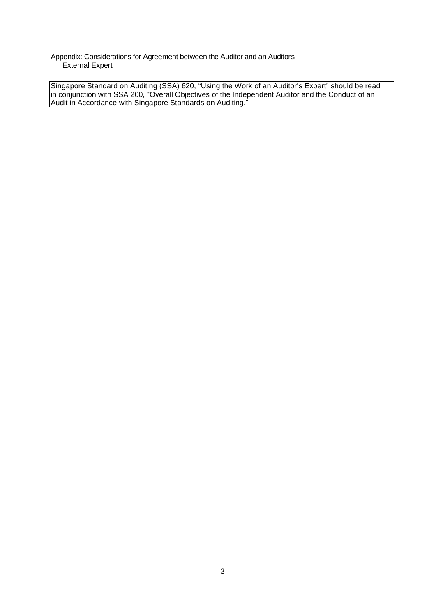Appendix: Considerations for Agreement between the Auditor and an Auditors External Expert

Singapore Standard on Auditing (SSA) 620, "Using the Work of an Auditor's Expert" should be read in conjunction with SSA 200, "Overall Objectives of the Independent Auditor and the Conduct of an Audit in Accordance with Singapore Standards on Auditing."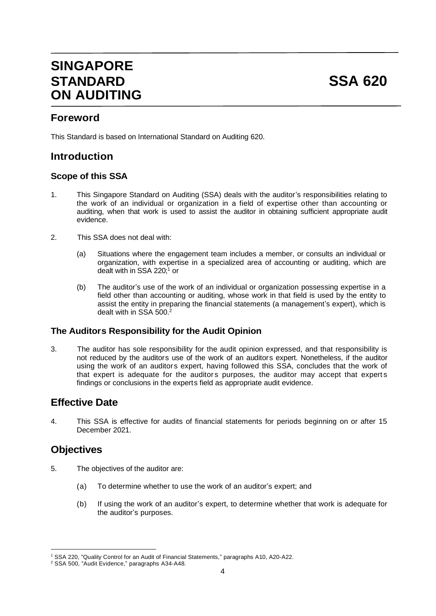# **SINGAPORE STANDARD SSA 620 ON AUDITING**

# **Foreword**

This Standard is based on International Standard on Auditing 620.

### **Introduction**

#### **Scope of this SSA**

- 1. This Singapore Standard on Auditing (SSA) deals with the auditor's responsibilities relating to the work of an individual or organization in a field of expertise other than accounting or auditing, when that work is used to assist the auditor in obtaining sufficient appropriate audit evidence.
- 2. This SSA does not deal with:
	- (a) Situations where the engagement team includes a member, or consults an individual or organization, with expertise in a specialized area of accounting or auditing, which are dealt with in SSA 220; <sup>1</sup> or
	- (b) The auditor's use of the work of an individual or organization possessing expertise in a field other than accounting or auditing, whose work in that field is used by the entity to assist the entity in preparing the financial statements (a management's expert), which is dealt with in SSA 500.<sup>2</sup>

#### **The Auditor's Responsibility for the Audit Opinion**

3. The auditor has sole responsibility for the audit opinion expressed, and that responsibility is not reduced by the auditors use of the work of an auditors expert. Nonetheless, if the auditor using the work of an auditors expert, having followed this SSA, concludes that the work of that expert is adequate for the auditors purposes, the auditor may accept that experts findings or conclusions in the experts field as appropriate audit evidence.

# **Effective Date**

4. This SSA is effective for audits of financial statements for periods beginning on or after 15 December 2021.

### **Objectives**

- 5. The objectives of the auditor are:
	- (a) To determine whether to use the work of an auditor's expert; and
	- (b) If using the work of an auditor's expert, to determine whether that work is adequate for the auditor's purposes.

<sup>1</sup> SSA 220, "Quality Control for an Audit of Financial Statements," paragraphs A10, A20-A22.

<sup>&</sup>lt;sup>2</sup> SSA 500, "Audit Evidence," paragraphs A34-A48.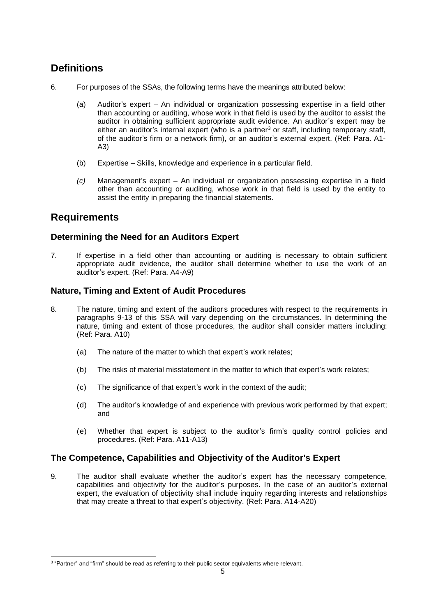# **Definitions**

- 6. For purposes of the SSAs, the following terms have the meanings attributed below:
	- (a) Auditor's expert An individual or organization possessing expertise in a field other than accounting or auditing, whose work in that field is used by the auditor to assist the auditor in obtaining sufficient appropriate audit evidence. An auditor's expert may be either an auditor's internal expert (who is a partner<sup>3</sup> or staff, including temporary staff, of the auditor's firm or a network firm), or an auditor's external expert. (Ref: Para. A1- A3)
	- (b) Expertise Skills, knowledge and experience in a particular field.
	- *(c)* Management's expert An individual or organization possessing expertise in a field other than accounting or auditing, whose work in that field is used by the entity to assist the entity in preparing the financial statements.

## **Requirements**

#### **Determining the Need for an Auditor's Expert**

7. If expertise in a field other than accounting or auditing is necessary to obtain sufficient appropriate audit evidence, the auditor shall determine whether to use the work of an auditor's expert. (Ref: Para. A4-A9)

#### **Nature, Timing and Extent of Audit Procedures**

- 8. The nature, timing and extent of the auditors procedures with respect to the requirements in paragraphs 9-13 of this SSA will vary depending on the circumstances. In determining the nature, timing and extent of those procedures, the auditor shall consider matters including: (Ref: Para. A10)
	- (a) The nature of the matter to which that expert's work relates;
	- (b) The risks of material misstatement in the matter to which that expert's work relates;
	- (c) The significance of that expert's work in the context of the audit;
	- (d) The auditor's knowledge of and experience with previous work performed by that expert; and
	- (e) Whether that expert is subject to the auditor's firm's quality control policies and procedures. (Ref: Para. A11-A13)

#### **The Competence, Capabilities and Objectivity of the Auditor's Expert**

9. The auditor shall evaluate whether the auditor's expert has the necessary competence, capabilities and objectivity for the auditor's purposes. In the case of an auditor's external expert, the evaluation of objectivity shall include inquiry regarding interests and relationships that may create a threat to that expert's objectivity. (Ref: Para. A14-A20)

<sup>&</sup>lt;sup>3</sup> "Partner" and "firm" should be read as referring to their public sector equivalents where relevant.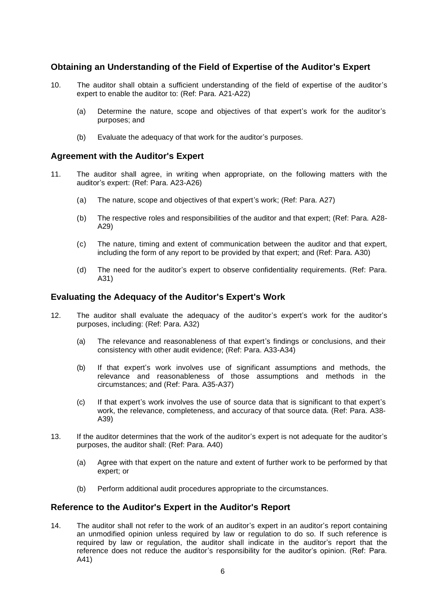#### **Obtaining an Understanding of the Field of Expertise of the Auditor's Expert**

- 10. The auditor shall obtain a sufficient understanding of the field of expertise of the auditor's expert to enable the auditor to: (Ref: Para. A21-A22)
	- (a) Determine the nature, scope and objectives of that expert's work for the auditor's purposes; and
	- (b) Evaluate the adequacy of that work for the auditor's purposes.

#### **Agreement with the Auditor's Expert**

- 11. The auditor shall agree, in writing when appropriate, on the following matters with the auditor's expert: (Ref: Para. A23-A26)
	- (a) The nature, scope and objectives of that expert's work; (Ref: Para. A27)
	- (b) The respective roles and responsibilities of the auditor and that expert; (Ref: Para. A28- A29)
	- (c) The nature, timing and extent of communication between the auditor and that expert, including the form of any report to be provided by that expert; and (Ref: Para. A30)
	- (d) The need for the auditor's expert to observe confidentiality requirements. (Ref: Para. A31)

#### **Evaluating the Adequacy of the Auditor's Expert's Work**

- 12. The auditor shall evaluate the adequacy of the auditor's expert's work for the auditor's purposes, including: (Ref: Para. A32)
	- (a) The relevance and reasonableness of that expert's findings or conclusions, and their consistency with other audit evidence; (Ref: Para. A33-A34)
	- (b) If that expert's work involves use of significant assumptions and methods, the relevance and reasonableness of those assumptions and methods in the circumstances; and (Ref: Para. A35-A37)
	- (c) If that expert's work involves the use of source data that is significant to that expert's work, the relevance, completeness, and accuracy of that source data. (Ref: Para. A38- A39)
- 13. If the auditor determines that the work of the auditor's expert is not adequate for the auditor's purposes, the auditor shall: (Ref: Para. A40)
	- (a) Agree with that expert on the nature and extent of further work to be performed by that expert; or
	- (b) Perform additional audit procedures appropriate to the circumstances.

#### **Reference to the Auditor's Expert in the Auditor's Report**

14. The auditor shall not refer to the work of an auditor's expert in an auditor's report containing an unmodified opinion unless required by law or regulation to do so. If such reference is required by law or regulation, the auditor shall indicate in the auditor's report that the reference does not reduce the auditor's responsibility for the auditor's opinion. (Ref: Para. A41)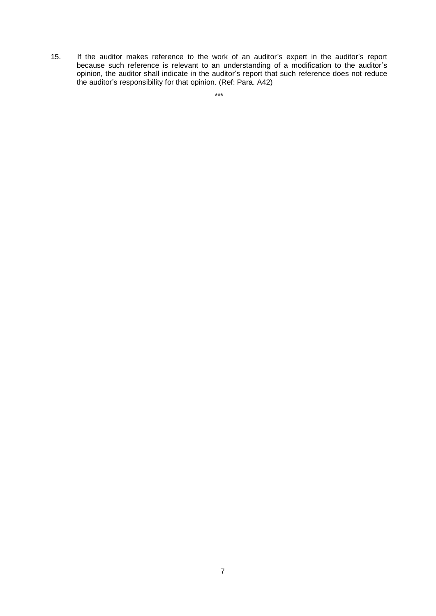15. If the auditor makes reference to the work of an auditor's expert in the auditor's report because such reference is relevant to an understanding of a modification to the auditor's opinion, the auditor shall indicate in the auditor's report that such reference does not reduce the auditor's responsibility for that opinion. (Ref: Para. A42)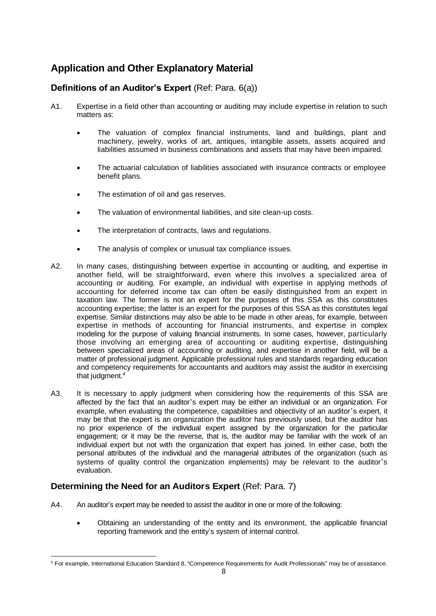# **Application and Other Explanatory Material**

### **Definitions of an Auditor's Expert** (Ref: Para. 6(a))

- A1. Expertise in a field other than accounting or auditing may include expertise in relation to such matters as:
	- The valuation of complex financial instruments, land and buildings, plant and machinery, jewelry, works of art, antiques, intangible assets, assets acquired and liabilities assumed in business combinations and assets that may have been impaired.
	- The actuarial calculation of liabilities associated with insurance contracts or employee benefit plans.
	- The estimation of oil and gas reserves.
	- The valuation of environmental liabilities, and site clean-up costs.
	- The interpretation of contracts, laws and regulations.
	- The analysis of complex or unusual tax compliance issues.
- A2. In many cases, distinguishing between expertise in accounting or auditing, and expertise in another field, will be straightforward, even where this involves a specialized area of accounting or auditing. For example, an individual with expertise in applying methods of accounting for deferred income tax can often be easily distinguished from an expert in taxation law. The former is not an expert for the purposes of this SSA as this constitutes accounting expertise; the latter is an expert for the purposes of this SSA as this constitutes legal expertise. Similar distinctions may also be able to be made in other areas, for example, between expertise in methods of accounting for financial instruments, and expertise in complex modeling for the purpose of valuing financial instruments. In some cases, however, particularly those involving an emerging area of accounting or auditing expertise, distinguishing between specialized areas of accounting or auditing, and expertise in another field, will be a matter of professional judgment. Applicable professional rules and standards regarding education and competency requirements for accountants and auditors may assist the auditor in exercising that judgment.<sup>4</sup>
- A3. It is necessary to apply judgment when considering how the requirements of this SSA are affected by the fact that an auditor's expert may be either an individual or an organization. For example, when evaluating the competence, capabilities and objectivity of an auditor's expert, it may be that the expert is an organization the auditor has previously used, but the auditor has no prior experience of the individual expert assigned by the organization for the particular engagement; or it may be the reverse, that is, the auditor may be familiar with the work of an individual expert but not with the organization that expert has joined. In either case, both the personal attributes of the individual and the managerial attributes of the organization (such as systems of quality control the organization implements) may be relevant to the auditor's evaluation.

#### **Determining the Need for an Auditors Expert** (Ref: Para. 7)

- A4. An auditor's expert may be needed to assist the auditor in one or more of the following:
	- Obtaining an understanding of the entity and its environment, the applicable financial reporting framework and the entity's system of internal control.

<sup>4</sup> For example, International Education Standard 8, "Competence Requirements for Audit Professionals" may be of assistance.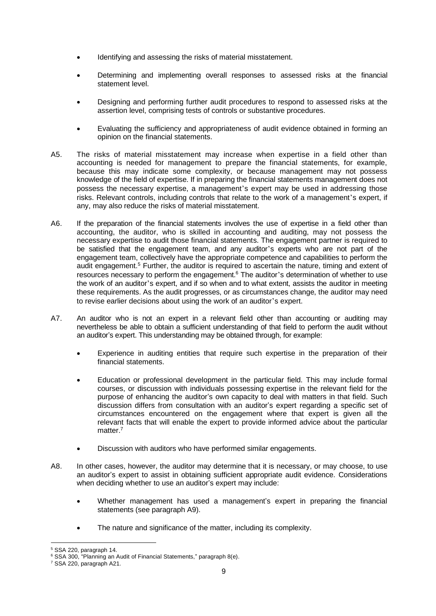- Identifying and assessing the risks of material misstatement.
- Determining and implementing overall responses to assessed risks at the financial statement level.
- Designing and performing further audit procedures to respond to assessed risks at the assertion level, comprising tests of controls or substantive procedures.
- Evaluating the sufficiency and appropriateness of audit evidence obtained in forming an opinion on the financial statements.
- A5. The risks of material misstatement may increase when expertise in a field other than accounting is needed for management to prepare the financial statements, for example, because this may indicate some complexity, or because management may not possess knowledge of the field of expertise. If in preparing the financial statements management does not possess the necessary expertise, a management's expert may be used in addressing those risks. Relevant controls, including controls that relate to the work of a management's expert, if any, may also reduce the risks of material misstatement.
- A6. If the preparation of the financial statements involves the use of expertise in a field other than accounting, the auditor, who is skilled in accounting and auditing, may not possess the necessary expertise to audit those financial statements. The engagement partner is required to be satisfied that the engagement team, and any auditor's experts who are not part of the engagement team, collectively have the appropriate competence and capabilities to perform the audit engagement.<sup>5</sup> Further, the auditor is required to ascertain the nature, timing and extent of resources necessary to perform the engagement.<sup>6</sup> The auditor's determination of whether to use the work of an auditor's expert, and if so when and to what extent, assists the auditor in meeting these requirements. As the audit progresses, or as circumstances change, the auditor may need to revise earlier decisions about using the work of an auditor's expert.
- A7. An auditor who is not an expert in a relevant field other than accounting or auditing may nevertheless be able to obtain a sufficient understanding of that field to perform the audit without an auditor's expert. This understanding may be obtained through, for example:
	- Experience in auditing entities that require such expertise in the preparation of their financial statements.
	- Education or professional development in the particular field. This may include formal courses, or discussion with individuals possessing expertise in the relevant field for the purpose of enhancing the auditor's own capacity to deal with matters in that field. Such discussion differs from consultation with an auditor's expert regarding a specific set of circumstances encountered on the engagement where that expert is given all the relevant facts that will enable the expert to provide informed advice about the particular matter.<sup>7</sup>
	- Discussion with auditors who have performed similar engagements.
- A8. In other cases, however, the auditor may determine that it is necessary, or may choose, to use an auditor's expert to assist in obtaining sufficient appropriate audit evidence. Considerations when deciding whether to use an auditor's expert may include:
	- Whether management has used a management's expert in preparing the financial statements (see paragraph A9).
	- The nature and significance of the matter, including its complexity.

<sup>5</sup> SSA 220, paragraph 14.

<sup>6</sup> SSA 300, "Planning an Audit of Financial Statements," paragraph 8(e).

<sup>7</sup> SSA 220, paragraph A21.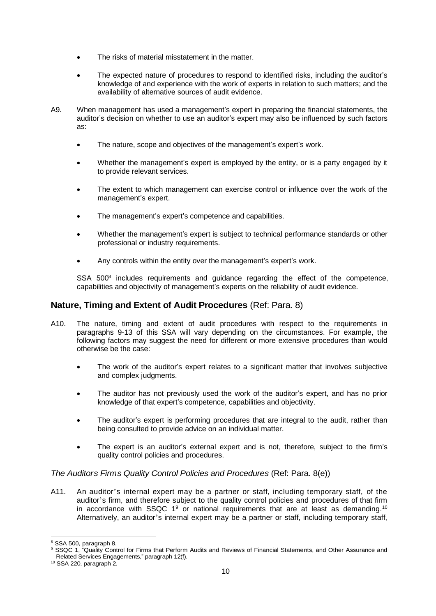- The risks of material misstatement in the matter.
- The expected nature of procedures to respond to identified risks, including the auditor's knowledge of and experience with the work of experts in relation to such matters; and the availability of alternative sources of audit evidence.
- A9. When management has used a management's expert in preparing the financial statements, the auditor's decision on whether to use an auditor's expert may also be influenced by such factors as:
	- The nature, scope and objectives of the management's expert's work.
	- Whether the management's expert is employed by the entity, or is a party engaged by it to provide relevant services.
	- The extent to which management can exercise control or influence over the work of the management's expert.
	- The management's expert's competence and capabilities.
	- Whether the management's expert is subject to technical performance standards or other professional or industry requirements.
	- Any controls within the entity over the management's expert's work.

SSA 500<sup>8</sup> includes requirements and guidance regarding the effect of the competence, capabilities and objectivity of management's experts on the reliability of audit evidence.

#### **Nature, Timing and Extent of Audit Procedures** (Ref: Para. 8)

- A10. The nature, timing and extent of audit procedures with respect to the requirements in paragraphs 9-13 of this SSA will vary depending on the circumstances. For example, the following factors may suggest the need for different or more extensive procedures than would otherwise be the case:
	- The work of the auditor's expert relates to a significant matter that involves subjective and complex judgments.
	- The auditor has not previously used the work of the auditor's expert, and has no prior knowledge of that expert's competence, capabilities and objectivity.
	- The auditor's expert is performing procedures that are integral to the audit, rather than being consulted to provide advice on an individual matter.
	- The expert is an auditor's external expert and is not, therefore, subject to the firm's quality control policies and procedures.

#### *The Auditor's Firm's Quality Control Policies and Procedures* (Ref: Para. 8(e))

A11. An auditor's internal expert may be a partner or staff, including temporary staff, of the auditor's firm, and therefore subject to the quality control policies and procedures of that firm in accordance with SSQC  $1^9$  or national requirements that are at least as demanding.<sup>10</sup> Alternatively, an auditor's internal expert may be a partner or staff, including temporary staff,

 $8$  SSA 500, paragraph 8.

<sup>9</sup> SSQC 1, "Quality Control for Firms that Perform Audits and Reviews of Financial Statements, and Other Assurance and Related Services Engagements," paragraph 12(f).

<sup>10</sup> SSA 220, paragraph 2.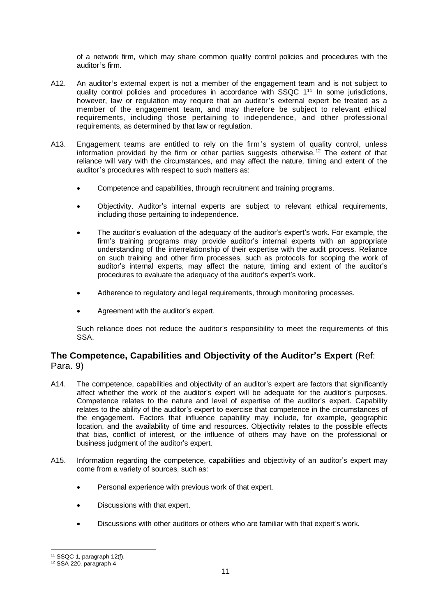of a network firm, which may share common quality control policies and procedures with the auditor's firm.

- A12. An auditor's external expert is not a member of the engagement team and is not subject to quality control policies and procedures in accordance with SSQC 1<sup>11</sup> In some jurisdictions, however, law or regulation may require that an auditor's external expert be treated as a member of the engagement team, and may therefore be subject to relevant ethical requirements, including those pertaining to independence, and other professional requirements, as determined by that law or regulation.
- A13. Engagement teams are entitled to rely on the firm's system of quality control, unless information provided by the firm or other parties suggests otherwise.<sup>12</sup> The extent of that reliance will vary with the circumstances, and may affect the nature, timing and extent of the auditor's procedures with respect to such matters as:
	- Competence and capabilities, through recruitment and training programs.
	- Objectivity. Auditor's internal experts are subject to relevant ethical requirements, including those pertaining to independence.
	- The auditor's evaluation of the adequacy of the auditor's expert's work. For example, the firm's training programs may provide auditor's internal experts with an appropriate understanding of the interrelationship of their expertise with the audit process. Reliance on such training and other firm processes, such as protocols for scoping the work of auditor's internal experts, may affect the nature, timing and extent of the auditor's procedures to evaluate the adequacy of the auditor's expert's work.
	- Adherence to regulatory and legal requirements, through monitoring processes.
	- Agreement with the auditor's expert.

Such reliance does not reduce the auditor's responsibility to meet the requirements of this SSA.

#### **The Competence, Capabilities and Objectivity of the Auditor's Expert** (Ref: Para. 9)

- A14. The competence, capabilities and objectivity of an auditor's expert are factors that significantly affect whether the work of the auditor's expert will be adequate for the auditor's purposes. Competence relates to the nature and level of expertise of the auditor's expert. Capability relates to the ability of the auditor's expert to exercise that competence in the circumstances of the engagement. Factors that influence capability may include, for example, geographic location, and the availability of time and resources. Objectivity relates to the possible effects that bias, conflict of interest, or the influence of others may have on the professional or business judgment of the auditor's expert.
- A15. Information regarding the competence, capabilities and objectivity of an auditor's expert may come from a variety of sources, such as:
	- Personal experience with previous work of that expert.
	- Discussions with that expert.
	- Discussions with other auditors or others who are familiar with that expert's work.

<sup>11</sup> SSQC 1, paragraph 12(f).

<sup>12</sup> SSA 220, paragraph 4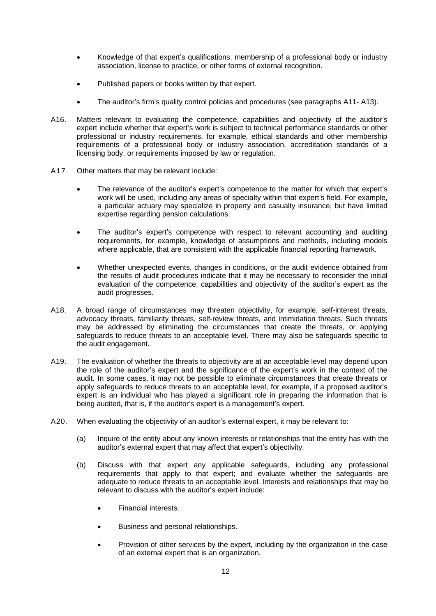- Knowledge of that expert's qualifications, membership of a professional body or industry association, license to practice, or other forms of external recognition.
- Published papers or books written by that expert.
- The auditor's firm's quality control policies and procedures (see paragraphs A11- A13).
- A16. Matters relevant to evaluating the competence, capabilities and objectivity of the auditor's expert include whether that expert's work is subject to technical performance standards or other professional or industry requirements, for example, ethical standards and other membership requirements of a professional body or industry association, accreditation standards of a licensing body, or requirements imposed by law or regulation.
- A17. Other matters that may be relevant include:
	- The relevance of the auditor's expert's competence to the matter for which that expert's work will be used, including any areas of specialty within that expert's field. For example, a particular actuary may specialize in property and casualty insurance, but have limited expertise regarding pension calculations.
	- The auditor's expert's competence with respect to relevant accounting and auditing requirements, for example, knowledge of assumptions and methods, including models where applicable, that are consistent with the applicable financial reporting framework.
	- Whether unexpected events, changes in conditions, or the audit evidence obtained from the results of audit procedures indicate that it may be necessary to reconsider the initial evaluation of the competence, capabilities and objectivity of the auditor's expert as the audit progresses.
- A18. A broad range of circumstances may threaten objectivity, for example, self-interest threats, advocacy threats, familiarity threats, self-review threats, and intimidation threats. Such threats may be addressed by eliminating the circumstances that create the threats, or applying safeguards to reduce threats to an acceptable level. There may also be safeguards specific to the audit engagement.
- A19. The evaluation of whether the threats to objectivity are at an acceptable level may depend upon the role of the auditor's expert and the significance of the expert's work in the context of the audit. In some cases, it may not be possible to eliminate circumstances that create threats or apply safeguards to reduce threats to an acceptable level, for example, if a proposed auditor's expert is an individual who has played a significant role in preparing the information that is being audited, that is, if the auditor's expert is a management's expert.
- A20. When evaluating the objectivity of an auditor's external expert, it may be relevant to:
	- (a) Inquire of the entity about any known interests or relationships that the entity has with the auditor's external expert that may affect that expert's objectivity.
	- (b) Discuss with that expert any applicable safeguards, including any professional requirements that apply to that expert; and evaluate whether the safeguards are adequate to reduce threats to an acceptable level. Interests and relationships that may be relevant to discuss with the auditor's expert include:
		- Financial interests.
		- Business and personal relationships.
		- Provision of other services by the expert, including by the organization in the case of an external expert that is an organization.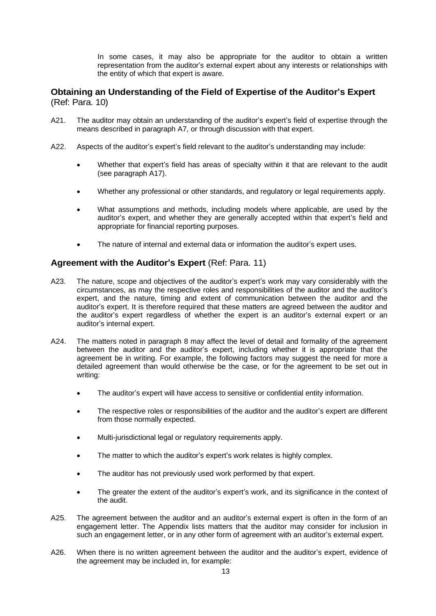In some cases, it may also be appropriate for the auditor to obtain a written representation from the auditor's external expert about any interests or relationships with the entity of which that expert is aware.

#### **Obtaining an Understanding of the Field of Expertise of the Auditor's Expert** (Ref: Para. 10)

- A21. The auditor may obtain an understanding of the auditor's expert's field of expertise through the means described in paragraph A7, or through discussion with that expert.
- A22. Aspects of the auditor's expert's field relevant to the auditor's understanding may include:
	- Whether that expert's field has areas of specialty within it that are relevant to the audit (see paragraph A17).
	- Whether any professional or other standards, and regulatory or legal requirements apply.
	- What assumptions and methods, including models where applicable, are used by the auditor's expert, and whether they are generally accepted within that expert's field and appropriate for financial reporting purposes.
	- The nature of internal and external data or information the auditor's expert uses.

#### **Agreement with the Auditor's Expert** (Ref: Para. 11)

- A23. The nature, scope and objectives of the auditor's expert's work may vary considerably with the circumstances, as may the respective roles and responsibilities of the auditor and the auditor's expert, and the nature, timing and extent of communication between the auditor and the auditor's expert. It is therefore required that these matters are agreed between the auditor and the auditor's expert regardless of whether the expert is an auditor's external expert or an auditor's internal expert.
- A24. The matters noted in paragraph 8 may affect the level of detail and formality of the agreement between the auditor and the auditor's expert, including whether it is appropriate that the agreement be in writing. For example, the following factors may suggest the need for more a detailed agreement than would otherwise be the case, or for the agreement to be set out in writing:
	- The auditor's expert will have access to sensitive or confidential entity information.
	- The respective roles or responsibilities of the auditor and the auditor's expert are different from those normally expected.
	- Multi-jurisdictional legal or regulatory requirements apply.
	- The matter to which the auditor's expert's work relates is highly complex.
	- The auditor has not previously used work performed by that expert.
	- The greater the extent of the auditor's expert's work, and its significance in the context of the audit.
- A25. The agreement between the auditor and an auditor's external expert is often in the form of an engagement letter. The Appendix lists matters that the auditor may consider for inclusion in such an engagement letter, or in any other form of agreement with an auditor's external expert.
- A26. When there is no written agreement between the auditor and the auditor's expert, evidence of the agreement may be included in, for example: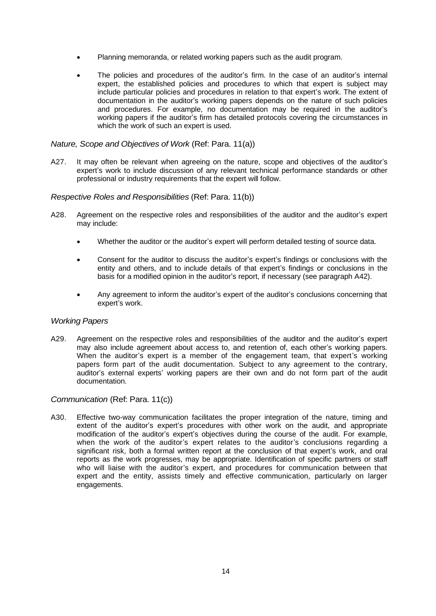- Planning memoranda, or related working papers such as the audit program.
- The policies and procedures of the auditor's firm. In the case of an auditor's internal expert, the established policies and procedures to which that expert is subject may include particular policies and procedures in relation to that expert's work. The extent of documentation in the auditor's working papers depends on the nature of such policies and procedures. For example, no documentation may be required in the auditor's working papers if the auditor's firm has detailed protocols covering the circumstances in which the work of such an expert is used.

#### *Nature, Scope and Objectives of Work* (Ref: Para. 11(a))

A27. It may often be relevant when agreeing on the nature, scope and objectives of the auditor's expert's work to include discussion of any relevant technical performance standards or other professional or industry requirements that the expert will follow.

#### *Respective Roles and Responsibilities* (Ref: Para. 11(b))

- A28. Agreement on the respective roles and responsibilities of the auditor and the auditor's expert may include:
	- Whether the auditor or the auditor's expert will perform detailed testing of source data.
	- Consent for the auditor to discuss the auditor's expert's findings or conclusions with the entity and others, and to include details of that expert's findings or conclusions in the basis for a modified opinion in the auditor's report, if necessary (see paragraph A42).
	- Any agreement to inform the auditor's expert of the auditor's conclusions concerning that expert's work.

#### *Working Papers*

A29. Agreement on the respective roles and responsibilities of the auditor and the auditor's expert may also include agreement about access to, and retention of, each other's working papers. When the auditor's expert is a member of the engagement team, that expert's working papers form part of the audit documentation. Subject to any agreement to the contrary, auditor's external experts' working papers are their own and do not form part of the audit documentation.

#### *Communication* (Ref: Para. 11(c))

A30. Effective two-way communication facilitates the proper integration of the nature, timing and extent of the auditor's expert's procedures with other work on the audit, and appropriate modification of the auditor's expert's objectives during the course of the audit. For example, when the work of the auditor's expert relates to the auditor's conclusions regarding a significant risk, both a formal written report at the conclusion of that expert's work, and oral reports as the work progresses, may be appropriate. Identification of specific partners or staff who will liaise with the auditor's expert, and procedures for communication between that expert and the entity, assists timely and effective communication, particularly on larger engagements.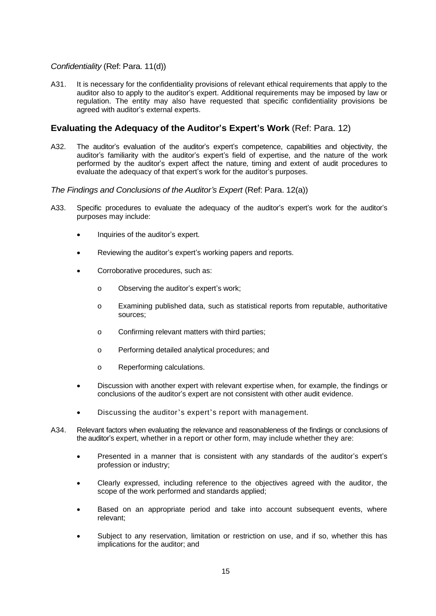#### *Confidentiality* (Ref: Para. 11(d))

A31. It is necessary for the confidentiality provisions of relevant ethical requirements that apply to the auditor also to apply to the auditor's expert. Additional requirements may be imposed by law or regulation. The entity may also have requested that specific confidentiality provisions be agreed with auditor's external experts.

#### **Evaluating the Adequacy of the Auditor's Expert's Work** (Ref: Para. 12)

A32. The auditor's evaluation of the auditor's expert's competence, capabilities and objectivity, the auditor's familiarity with the auditor's expert's field of expertise, and the nature of the work performed by the auditor's expert affect the nature, timing and extent of audit procedures to evaluate the adequacy of that expert's work for the auditor's purposes.

#### *The Findings and Conclusions of the Auditor's Expert* (Ref: Para. 12(a))

- A33. Specific procedures to evaluate the adequacy of the auditor's expert's work for the auditor's purposes may include:
	- Inquiries of the auditor's expert.
	- Reviewing the auditor's expert's working papers and reports.
	- Corroborative procedures, such as:
		- o Observing the auditor's expert's work;
		- o Examining published data, such as statistical reports from reputable, authoritative sources;
		- o Confirming relevant matters with third parties;
		- o Performing detailed analytical procedures; and
		- o Reperforming calculations.
	- Discussion with another expert with relevant expertise when, for example, the findings or conclusions of the auditor's expert are not consistent with other audit evidence.
	- Discussing the auditor's expert's report with management.
- A34. Relevant factors when evaluating the relevance and reasonableness of the findings or conclusions of the auditor's expert, whether in a report or other form, may include whether they are:
	- Presented in a manner that is consistent with any standards of the auditor's expert's profession or industry;
	- Clearly expressed, including reference to the objectives agreed with the auditor, the scope of the work performed and standards applied;
	- Based on an appropriate period and take into account subsequent events, where relevant;
	- Subject to any reservation, limitation or restriction on use, and if so, whether this has implications for the auditor; and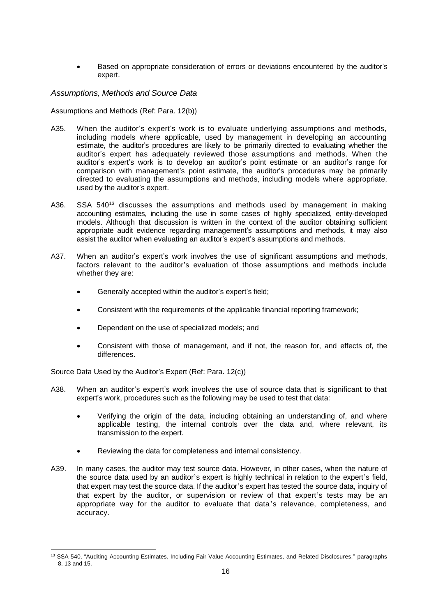• Based on appropriate consideration of errors or deviations encountered by the auditor's expert.

#### *Assumptions, Methods and Source Data*

Assumptions and Methods (Ref: Para. 12(b))

- A35. When the auditor's expert's work is to evaluate underlying assumptions and methods, including models where applicable, used by management in developing an accounting estimate, the auditor's procedures are likely to be primarily directed to evaluating whether the auditor's expert has adequately reviewed those assumptions and methods. When the auditor's expert's work is to develop an auditor's point estimate or an auditor's range for comparison with management's point estimate, the auditor's procedures may be primarily directed to evaluating the assumptions and methods, including models where appropriate, used by the auditor's expert.
- A36. SSA 540<sup>13</sup> discusses the assumptions and methods used by management in making accounting estimates, including the use in some cases of highly specialized, entity-developed models. Although that discussion is written in the context of the auditor obtaining sufficient appropriate audit evidence regarding management's assumptions and methods, it may also assist the auditor when evaluating an auditor's expert's assumptions and methods.
- A37. When an auditor's expert's work involves the use of significant assumptions and methods, factors relevant to the auditor's evaluation of those assumptions and methods include whether they are:
	- Generally accepted within the auditor's expert's field;
	- Consistent with the requirements of the applicable financial reporting framework;
	- Dependent on the use of specialized models; and
	- Consistent with those of management, and if not, the reason for, and effects of, the differences.

Source Data Used by the Auditor's Expert (Ref: Para. 12(c))

- A38. When an auditor's expert's work involves the use of source data that is significant to that expert's work, procedures such as the following may be used to test that data:
	- Verifying the origin of the data, including obtaining an understanding of, and where applicable testing, the internal controls over the data and, where relevant, its transmission to the expert.
	- Reviewing the data for completeness and internal consistency.
- A39. In many cases, the auditor may test source data. However, in other cases, when the nature of the source data used by an auditor's expert is highly technical in relation to the expert's field, that expert may test the source data. If the auditor's expert has tested the source data, inquiry of that expert by the auditor, or supervision or review of that expert's tests may be an appropriate way for the auditor to evaluate that data's relevance, completeness, and accuracy.

<sup>&</sup>lt;sup>13</sup> SSA 540, "Auditing Accounting Estimates, Including Fair Value Accounting Estimates, and Related Disclosures," paragraphs 8, 13 and 15.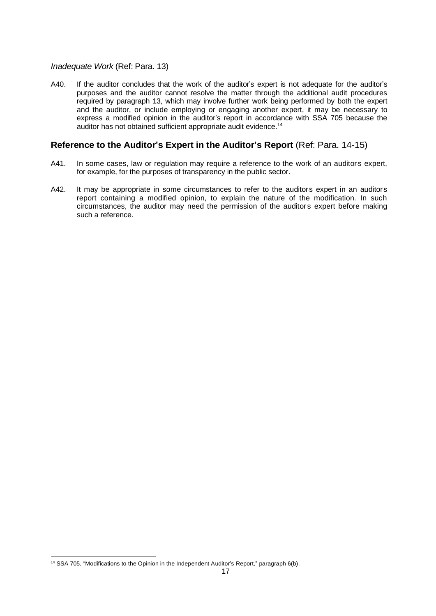#### *Inadequate Work* (Ref: Para. 13)

A40. If the auditor concludes that the work of the auditor's expert is not adequate for the auditor's purposes and the auditor cannot resolve the matter through the additional audit procedures required by paragraph 13, which may involve further work being performed by both the expert and the auditor, or include employing or engaging another expert, it may be necessary to express a modified opinion in the auditor's report in accordance with SSA 705 because the auditor has not obtained sufficient appropriate audit evidence.<sup>14</sup>

#### **Reference to the Auditor's Expert in the Auditor's Report** (Ref: Para. 14-15)

- A41. In some cases, law or regulation may require a reference to the work of an auditors expert, for example, for the purposes of transparency in the public sector.
- A42. It may be appropriate in some circumstances to refer to the auditors expert in an auditors report containing a modified opinion, to explain the nature of the modification. In such circumstances, the auditor may need the permission of the auditors expert before making such a reference.

<sup>&</sup>lt;sup>14</sup> SSA 705, "Modifications to the Opinion in the Independent Auditor's Report," paragraph 6(b).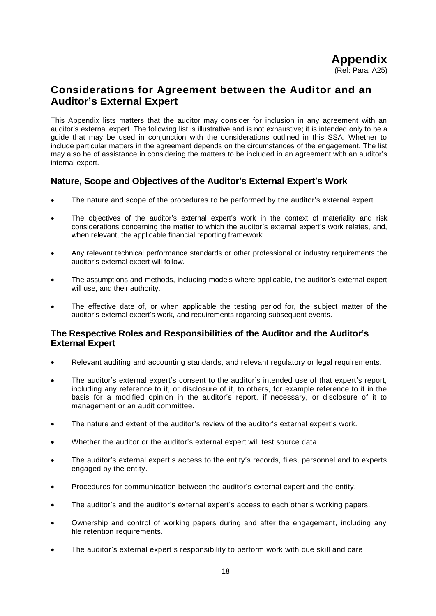# **Considerations for Agreement between the Auditor and an Auditor's External Expert**

This Appendix lists matters that the auditor may consider for inclusion in any agreement with an auditor's external expert. The following list is illustrative and is not exhaustive; it is intended only to be a guide that may be used in conjunction with the considerations outlined in this SSA. Whether to include particular matters in the agreement depends on the circumstances of the engagement. The list may also be of assistance in considering the matters to be included in an agreement with an auditor's internal expert.

#### **Nature, Scope and Objectives of the Auditor's External Expert's Work**

- The nature and scope of the procedures to be performed by the auditor's external expert.
- The objectives of the auditor's external expert's work in the context of materiality and risk considerations concerning the matter to which the auditor's external expert's work relates, and, when relevant, the applicable financial reporting framework.
- Any relevant technical performance standards or other professional or industry requirements the auditor's external expert will follow.
- The assumptions and methods, including models where applicable, the auditor's external expert will use, and their authority.
- The effective date of, or when applicable the testing period for, the subject matter of the auditor's external expert's work, and requirements regarding subsequent events.

#### **The Respective Roles and Responsibilities of the Auditor and the Auditor's External Expert**

- Relevant auditing and accounting standards, and relevant regulatory or legal requirements.
- The auditor's external expert's consent to the auditor's intended use of that expert's report, including any reference to it, or disclosure of it, to others, for example reference to it in the basis for a modified opinion in the auditor's report, if necessary, or disclosure of it to management or an audit committee.
- The nature and extent of the auditor's review of the auditor's external expert's work.
- Whether the auditor or the auditor's external expert will test source data.
- The auditor's external expert's access to the entity's records, files, personnel and to experts engaged by the entity.
- Procedures for communication between the auditor's external expert and the entity.
- The auditor's and the auditor's external expert's access to each other's working papers.
- Ownership and control of working papers during and after the engagement, including any file retention requirements.
- The auditor's external expert's responsibility to perform work with due skill and care.